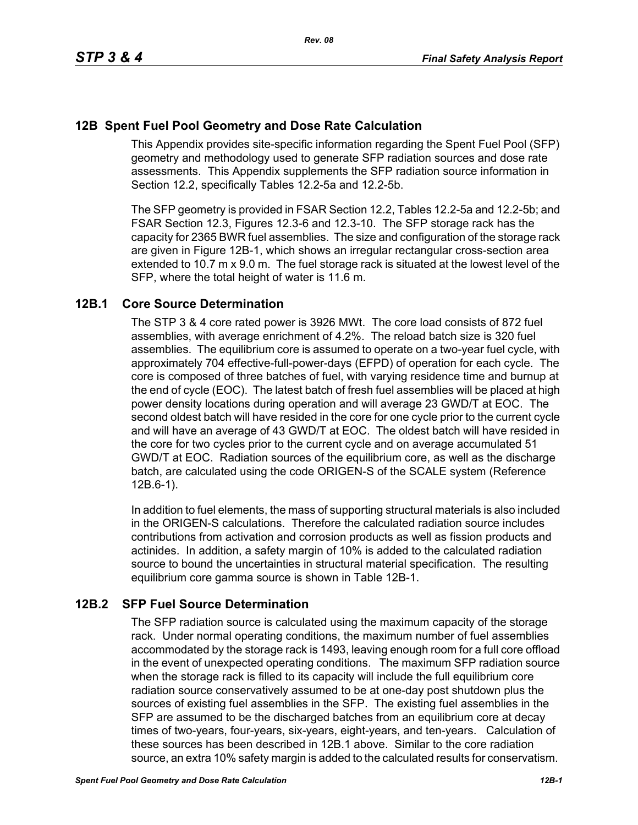# **12B Spent Fuel Pool Geometry and Dose Rate Calculation**

This Appendix provides site-specific information regarding the Spent Fuel Pool (SFP) geometry and methodology used to generate SFP radiation sources and dose rate assessments. This Appendix supplements the SFP radiation source information in Section 12.2, specifically Tables 12.2-5a and 12.2-5b.

The SFP geometry is provided in FSAR Section 12.2, Tables 12.2-5a and 12.2-5b; and FSAR Section 12.3, Figures 12.3-6 and 12.3-10. The SFP storage rack has the capacity for 2365 BWR fuel assemblies. The size and configuration of the storage rack are given in Figure 12B-1, which shows an irregular rectangular cross-section area extended to 10.7 m x 9.0 m. The fuel storage rack is situated at the lowest level of the SFP, where the total height of water is 11.6 m.

# **12B.1 Core Source Determination**

The STP 3 & 4 core rated power is 3926 MWt. The core load consists of 872 fuel assemblies, with average enrichment of 4.2%. The reload batch size is 320 fuel assemblies. The equilibrium core is assumed to operate on a two-year fuel cycle, with approximately 704 effective-full-power-days (EFPD) of operation for each cycle. The core is composed of three batches of fuel, with varying residence time and burnup at the end of cycle (EOC). The latest batch of fresh fuel assemblies will be placed at high power density locations during operation and will average 23 GWD/T at EOC. The second oldest batch will have resided in the core for one cycle prior to the current cycle and will have an average of 43 GWD/T at EOC. The oldest batch will have resided in the core for two cycles prior to the current cycle and on average accumulated 51 GWD/T at EOC. Radiation sources of the equilibrium core, as well as the discharge batch, are calculated using the code ORIGEN-S of the SCALE system (Reference 12B.6-1).

In addition to fuel elements, the mass of supporting structural materials is also included in the ORIGEN-S calculations. Therefore the calculated radiation source includes contributions from activation and corrosion products as well as fission products and actinides. In addition, a safety margin of 10% is added to the calculated radiation source to bound the uncertainties in structural material specification. The resulting equilibrium core gamma source is shown in Table 12B-1.

# **12B.2 SFP Fuel Source Determination**

The SFP radiation source is calculated using the maximum capacity of the storage rack. Under normal operating conditions, the maximum number of fuel assemblies accommodated by the storage rack is 1493, leaving enough room for a full core offload in the event of unexpected operating conditions. The maximum SFP radiation source when the storage rack is filled to its capacity will include the full equilibrium core radiation source conservatively assumed to be at one-day post shutdown plus the sources of existing fuel assemblies in the SFP. The existing fuel assemblies in the SFP are assumed to be the discharged batches from an equilibrium core at decay times of two-years, four-years, six-years, eight-years, and ten-years. Calculation of these sources has been described in 12B.1 above. Similar to the core radiation source, an extra 10% safety margin is added to the calculated results for conservatism.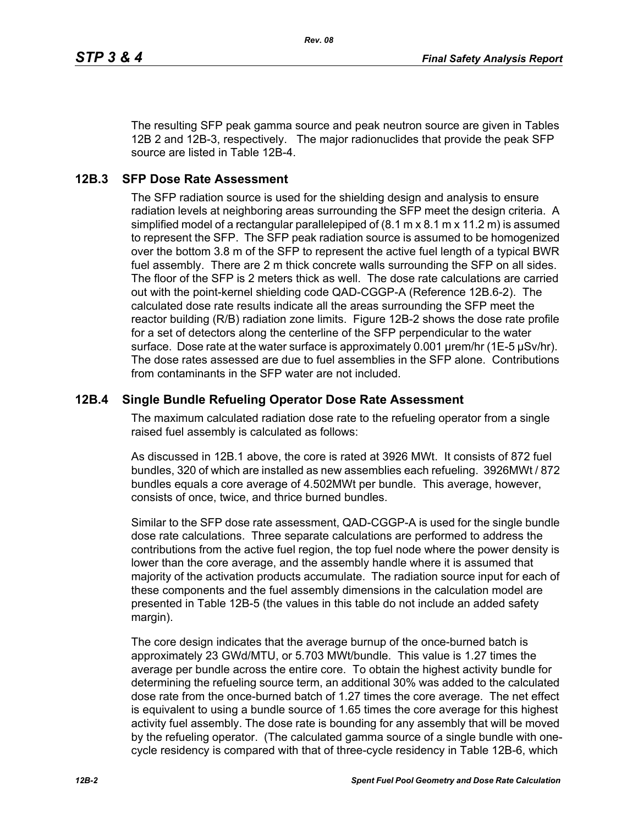*Rev. 08*

The resulting SFP peak gamma source and peak neutron source are given in Tables 12B 2 and 12B-3, respectively. The major radionuclides that provide the peak SFP source are listed in Table 12B-4.

#### **12B.3 SFP Dose Rate Assessment**

The SFP radiation source is used for the shielding design and analysis to ensure radiation levels at neighboring areas surrounding the SFP meet the design criteria. A simplified model of a rectangular parallelepiped of (8.1 m x 8.1 m x 11.2 m) is assumed to represent the SFP. The SFP peak radiation source is assumed to be homogenized over the bottom 3.8 m of the SFP to represent the active fuel length of a typical BWR fuel assembly. There are 2 m thick concrete walls surrounding the SFP on all sides. The floor of the SFP is 2 meters thick as well. The dose rate calculations are carried out with the point-kernel shielding code QAD-CGGP-A (Reference 12B.6-2). The calculated dose rate results indicate all the areas surrounding the SFP meet the reactor building (R/B) radiation zone limits. Figure 12B-2 shows the dose rate profile for a set of detectors along the centerline of the SFP perpendicular to the water surface. Dose rate at the water surface is approximately 0.001 µrem/hr (1E-5 µSv/hr). The dose rates assessed are due to fuel assemblies in the SFP alone. Contributions from contaminants in the SFP water are not included.

#### **12B.4 Single Bundle Refueling Operator Dose Rate Assessment**

The maximum calculated radiation dose rate to the refueling operator from a single raised fuel assembly is calculated as follows:

As discussed in 12B.1 above, the core is rated at 3926 MWt. It consists of 872 fuel bundles, 320 of which are installed as new assemblies each refueling. 3926MWt / 872 bundles equals a core average of 4.502MWt per bundle. This average, however, consists of once, twice, and thrice burned bundles.

Similar to the SFP dose rate assessment, QAD-CGGP-A is used for the single bundle dose rate calculations. Three separate calculations are performed to address the contributions from the active fuel region, the top fuel node where the power density is lower than the core average, and the assembly handle where it is assumed that majority of the activation products accumulate. The radiation source input for each of these components and the fuel assembly dimensions in the calculation model are presented in Table 12B-5 (the values in this table do not include an added safety margin).

The core design indicates that the average burnup of the once-burned batch is approximately 23 GWd/MTU, or 5.703 MWt/bundle. This value is 1.27 times the average per bundle across the entire core. To obtain the highest activity bundle for determining the refueling source term, an additional 30% was added to the calculated dose rate from the once-burned batch of 1.27 times the core average. The net effect is equivalent to using a bundle source of 1.65 times the core average for this highest activity fuel assembly. The dose rate is bounding for any assembly that will be moved by the refueling operator. (The calculated gamma source of a single bundle with onecycle residency is compared with that of three-cycle residency in Table 12B-6, which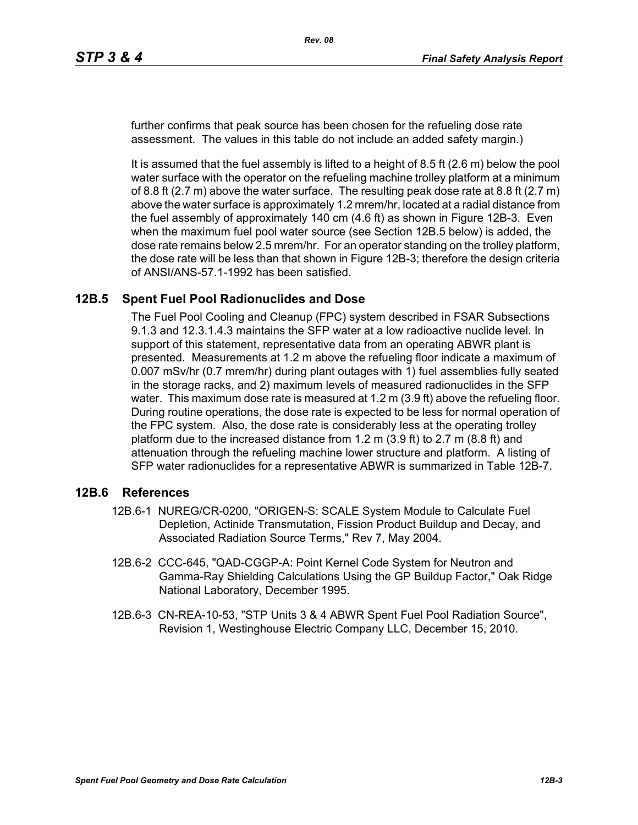further confirms that peak source has been chosen for the refueling dose rate assessment. The values in this table do not include an added safety margin.)

It is assumed that the fuel assembly is lifted to a height of 8.5 ft (2.6 m) below the pool water surface with the operator on the refueling machine trolley platform at a minimum of 8.8 ft  $(2.7 \text{ m})$  above the water surface. The resulting peak dose rate at 8.8 ft  $(2.7 \text{ m})$ above the water surface is approximately 1.2 mrem/hr, located at a radial distance from the fuel assembly of approximately 140 cm (4.6 ft) as shown in Figure 12B-3. Even when the maximum fuel pool water source (see Section 12B.5 below) is added, the dose rate remains below 2.5 mrem/hr. For an operator standing on the trolley platform, the dose rate will be less than that shown in Figure 12B-3; therefore the design criteria of ANSI/ANS-57.1-1992 has been satisfied.

### **12B.5 Spent Fuel Pool Radionuclides and Dose**

The Fuel Pool Cooling and Cleanup (FPC) system described in FSAR Subsections 9.1.3 and 12.3.1.4.3 maintains the SFP water at a low radioactive nuclide level. In support of this statement, representative data from an operating ABWR plant is presented. Measurements at 1.2 m above the refueling floor indicate a maximum of 0.007 mSv/hr (0.7 mrem/hr) during plant outages with 1) fuel assemblies fully seated in the storage racks, and 2) maximum levels of measured radionuclides in the SFP water. This maximum dose rate is measured at 1.2 m (3.9 ft) above the refueling floor. During routine operations, the dose rate is expected to be less for normal operation of the FPC system. Also, the dose rate is considerably less at the operating trolley platform due to the increased distance from 1.2 m (3.9 ft) to 2.7 m (8.8 ft) and attenuation through the refueling machine lower structure and platform. A listing of SFP water radionuclides for a representative ABWR is summarized in Table 12B-7.

#### **12B.6 References**

- 12B.6-1 NUREG/CR-0200, "ORIGEN-S: SCALE System Module to Calculate Fuel Depletion, Actinide Transmutation, Fission Product Buildup and Decay, and Associated Radiation Source Terms," Rev 7, May 2004.
- 12B.6-2 CCC-645, "QAD-CGGP-A: Point Kernel Code System for Neutron and Gamma-Ray Shielding Calculations Using the GP Buildup Factor," Oak Ridge National Laboratory, December 1995.
- 12B.6-3 CN-REA-10-53, "STP Units 3 & 4 ABWR Spent Fuel Pool Radiation Source", Revision 1, Westinghouse Electric Company LLC, December 15, 2010.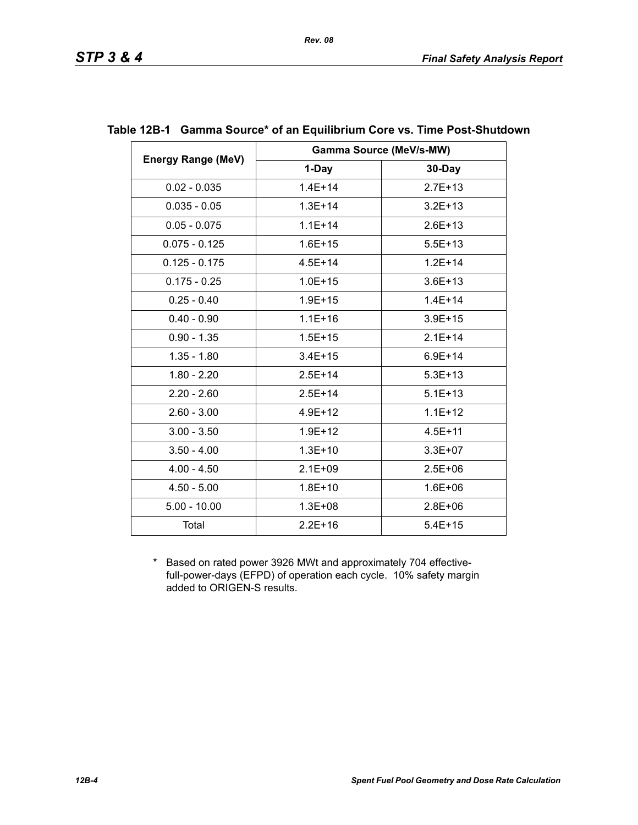|                           |             | <b>Gamma Source (MeV/s-MW)</b> |
|---------------------------|-------------|--------------------------------|
| <b>Energy Range (MeV)</b> | 1-Day       | 30-Day                         |
| $0.02 - 0.035$            | $1.4E + 14$ | $2.7E + 13$                    |
| $0.035 - 0.05$            | $1.3E + 14$ | $3.2E + 13$                    |
| $0.05 - 0.075$            | $1.1E + 14$ | $2.6E + 13$                    |
| $0.075 - 0.125$           | $1.6E + 15$ | $5.5E + 13$                    |
| $0.125 - 0.175$           | $4.5E + 14$ | $1.2E + 14$                    |
| $0.175 - 0.25$            | $1.0E + 15$ | $3.6E + 13$                    |
| $0.25 - 0.40$             | $1.9E + 15$ | $1.4E + 14$                    |
| $0.40 - 0.90$             | $1.1E + 16$ | $3.9E + 15$                    |
| $0.90 - 1.35$             | $1.5E + 15$ | $2.1E+14$                      |
| $1.35 - 1.80$             | $3.4E + 15$ | $6.9E + 14$                    |
| $1.80 - 2.20$             | $2.5E+14$   | $5.3E + 13$                    |
| $2.20 - 2.60$             | $2.5E + 14$ | $5.1E + 13$                    |
| $2.60 - 3.00$             | $4.9E + 12$ | $1.1E + 12$                    |
| $3.00 - 3.50$             | $1.9E + 12$ | $4.5E + 11$                    |
| $3.50 - 4.00$             | $1.3E + 10$ | $3.3E + 07$                    |
| $4.00 - 4.50$             | $2.1E + 09$ | $2.5E + 06$                    |
| $4.50 - 5.00$             | $1.8E + 10$ | $1.6E + 06$                    |
| $5.00 - 10.00$            | $1.3E + 08$ | $2.8E + 06$                    |
| Total                     | $2.2E + 16$ | $5.4E + 15$                    |

### **Table 12B-1 Gamma Source\* of an Equilibrium Core vs. Time Post-Shutdown**

*Rev. 08*

\* Based on rated power 3926 MWt and approximately 704 effectivefull-power-days (EFPD) of operation each cycle. 10% safety margin added to ORIGEN-S results.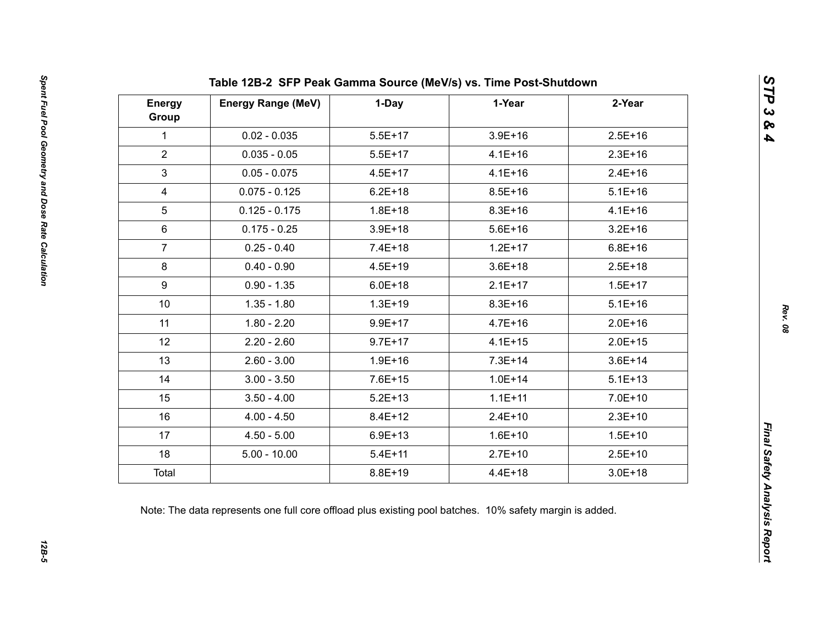| <b>Energy</b><br>Group | <b>Energy Range (MeV)</b> | 1-Day       | 1-Year      | 2-Year      |
|------------------------|---------------------------|-------------|-------------|-------------|
| $\mathbf{1}$           | $0.02 - 0.035$            | $5.5E+17$   | $3.9E + 16$ | $2.5E+16$   |
| $\overline{2}$         | $0.035 - 0.05$            | $5.5E+17$   | $4.1E + 16$ | $2.3E+16$   |
| $\mathfrak{S}$         | $0.05 - 0.075$            | $4.5E + 17$ | $4.1E + 16$ | $2.4E+16$   |
| $\overline{4}$         | $0.075 - 0.125$           | $6.2E + 18$ | $8.5E + 16$ | $5.1E + 16$ |
| 5                      | $0.125 - 0.175$           | $1.8E + 18$ | $8.3E + 16$ | $4.1E + 16$ |
| $6\phantom{1}$         | $0.175 - 0.25$            | $3.9E + 18$ | $5.6E + 16$ | $3.2E + 16$ |
| $\overline{7}$         | $0.25 - 0.40$             | $7.4E + 18$ | $1.2E + 17$ | $6.8E + 16$ |
| 8                      | $0.40 - 0.90$             | $4.5E + 19$ | $3.6E + 18$ | $2.5E+18$   |
| 9                      | $0.90 - 1.35$             | $6.0E + 18$ | $2.1E+17$   | $1.5E + 17$ |
| 10 <sup>°</sup>        | $1.35 - 1.80$             | $1.3E + 19$ | $8.3E + 16$ | $5.1E + 16$ |
| 11                     | $1.80 - 2.20$             | $9.9E + 17$ | $4.7E + 16$ | $2.0E + 16$ |
| 12                     | $2.20 - 2.60$             | $9.7E + 17$ | $4.1E + 15$ | $2.0E + 15$ |
| 13                     | $2.60 - 3.00$             | $1.9E + 16$ | $7.3E + 14$ | $3.6E + 14$ |
| 14                     | $3.00 - 3.50$             | $7.6E + 15$ | $1.0E + 14$ | $5.1E + 13$ |
| 15                     | $3.50 - 4.00$             | $5.2E + 13$ | $1.1E + 11$ | $7.0E + 10$ |
| 16                     | $4.00 - 4.50$             | $8.4E + 12$ | $2.4E+10$   | $2.3E+10$   |
| 17                     | $4.50 - 5.00$             | $6.9E + 13$ | $1.6E + 10$ | $1.5E + 10$ |
| 18                     | $5.00 - 10.00$            | $5.4E + 11$ | $2.7E+10$   | $2.5E+10$   |
| Total                  |                           | $8.8E + 19$ | $4.4E + 18$ | $3.0E + 18$ |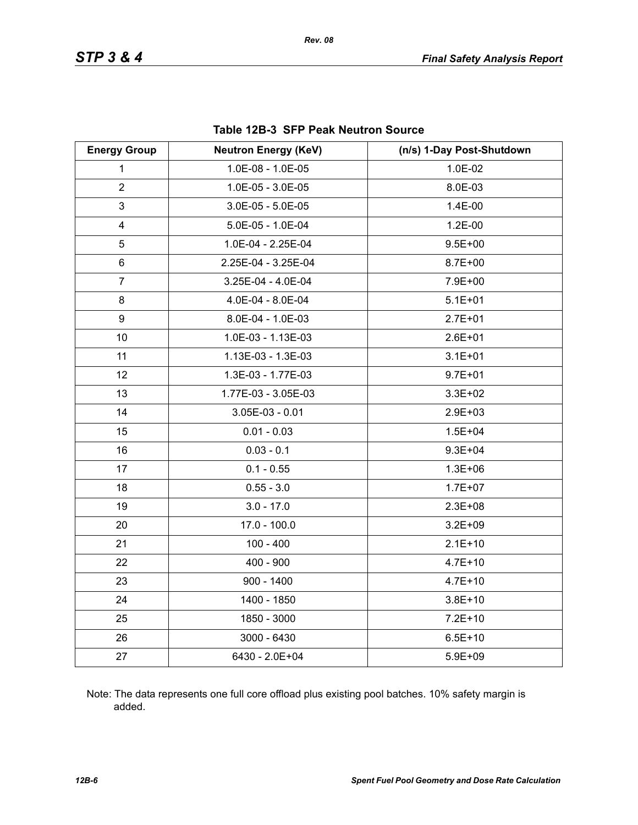| <b>Energy Group</b>     | <b>Neutron Energy (KeV)</b> | (n/s) 1-Day Post-Shutdown |
|-------------------------|-----------------------------|---------------------------|
| 1                       | 1.0E-08 - 1.0E-05           | 1.0E-02                   |
| $\overline{2}$          | 1.0E-05 - 3.0E-05           | 8.0E-03                   |
| 3                       | $3.0E-05 - 5.0E-05$         | 1.4E-00                   |
| $\overline{\mathbf{4}}$ | 5.0E-05 - 1.0E-04           | 1.2E-00                   |
| 5                       | 1.0E-04 - 2.25E-04          | $9.5E + 00$               |
| 6                       | 2.25E-04 - 3.25E-04         | $8.7E + 00$               |
| $\overline{7}$          | 3.25E-04 - 4.0E-04          | 7.9E+00                   |
| 8                       | 4.0E-04 - 8.0E-04           | $5.1E + 01$               |
| 9                       | 8.0E-04 - 1.0E-03           | $2.7E + 01$               |
| 10                      | 1.0E-03 - 1.13E-03          | $2.6E + 01$               |
| 11                      | 1.13E-03 - 1.3E-03          | $3.1E + 01$               |
| 12                      | 1.3E-03 - 1.77E-03          | $9.7E + 01$               |
| 13                      | 1.77E-03 - 3.05E-03         | $3.3E + 02$               |
| 14                      | $3.05E-03 - 0.01$           | $2.9E + 03$               |
| 15                      | $0.01 - 0.03$               | $1.5E + 04$               |
| 16                      | $0.03 - 0.1$                | $9.3E + 04$               |
| 17                      | $0.1 - 0.55$                | $1.3E + 06$               |
| 18                      | $0.55 - 3.0$                | $1.7E + 07$               |
| 19                      | $3.0 - 17.0$                | $2.3E + 08$               |
| 20                      | $17.0 - 100.0$              | $3.2E + 09$               |
| 21                      | $100 - 400$                 | $2.1E+10$                 |
| 22                      | $400 - 900$                 | $4.7E + 10$               |
| 23                      | $900 - 1400$                | $4.7E + 10$               |
| 24                      | 1400 - 1850                 | $3.8E + 10$               |
| 25                      | 1850 - 3000                 | $7.2E + 10$               |
| 26                      | 3000 - 6430                 | $6.5E + 10$               |
| 27                      | 6430 - 2.0E+04              | $5.9E + 09$               |

#### **Table 12B-3 SFP Peak Neutron Source**

Note: The data represents one full core offload plus existing pool batches. 10% safety margin is added.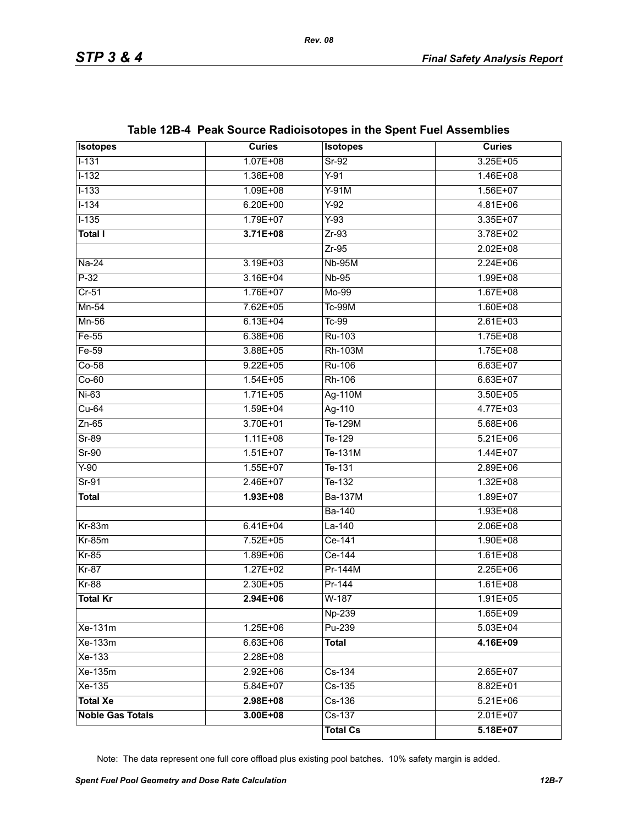| <b>Isotopes</b>         | <b>Curies</b> | <b>Isotopes</b> | <b>Curies</b> |
|-------------------------|---------------|-----------------|---------------|
| $1 - 131$               | $1.07E + 08$  | $Sr-92$         | $3.25E + 05$  |
| $1 - 132$               | 1.36E+08      | $Y-91$          | $1.46E + 08$  |
| $1 - 133$               | $1.09E + 08$  | $Y-91M$         | $1.56E+07$    |
| $1 - 134$               | $6.20E + 00$  | $Y-92$          | $4.81E + 06$  |
| $1 - 135$               | 1.79E+07      | $Y-93$          | $3.35E+07$    |
| <b>Total I</b>          | $3.71E + 08$  | $Zr-93$         | 3.78E+02      |
|                         |               | $Zr-95$         | $2.02E + 08$  |
| $Na-24$                 | $3.19E + 03$  | <b>Nb-95M</b>   | $2.24E + 06$  |
| $P-32$                  | $3.16E + 04$  | <b>Nb-95</b>    | $1.99E + 08$  |
| $Cr-51$                 | 1.76E+07      | $Mo-99$         | $1.67E + 08$  |
| $Mn-54$                 | $7.62E + 05$  | <b>Tc-99M</b>   | $1.60E + 08$  |
| Mn-56                   | $6.13E + 04$  | $Tc-99$         | $2.61E + 03$  |
| $Fe-55$                 | $6.38E + 06$  | Ru-103          | $1.75E + 08$  |
| $Fe-59$                 | 3.88E+05      | <b>Rh-103M</b>  | $1.75E + 08$  |
| $Co-58$                 | $9.22E + 05$  | <b>Ru-106</b>   | $6.63E + 07$  |
| $Co-60$                 | $1.54E + 05$  | Rh-106          | $6.63E + 07$  |
| $Ni-63$                 | $1.71E + 05$  | Ag-110M         | $3.50E + 05$  |
| $Cu-64$                 | $1.59E + 04$  | Ag-110          | $4.77E + 03$  |
| $Zn-65$                 | 3.70E+01      | Te-129M         | $5.68E + 06$  |
| $Sr-89$                 | $1.11E + 08$  | Te-129          | $5.21E + 06$  |
| $Sr-90$                 | $1.51E+07$    | Te-131M         | $1.44E + 07$  |
| $Y-90$                  | $1.55E+07$    | Te-131          | $2.89E + 06$  |
| $Sr-91$                 | $2.46E+07$    | $T_{e-132}$     | $1.32E + 08$  |
| <b>Total</b>            | $1.93E + 08$  | <b>Ba-137M</b>  | $1.89E+07$    |
|                         |               | <b>Ba-140</b>   | $1.93E + 08$  |
| $Kr-83m$                | $6.41E + 04$  | $La-140$        | $2.06E + 08$  |
| $Kr-85m$                | 7.52E+05      | Ce-141          | $1.90E + 08$  |
| $Kr-85$                 | $1.89E + 06$  | Ce-144          | $1.61E + 08$  |
| $Kr-87$                 | $1.27E+02$    | Pr-144M         | $2.25E + 06$  |
| $Kr-88$                 | $2.30E + 05$  | Pr-144          | $1.61E + 08$  |
| <b>Total Kr</b>         | $2.94E + 06$  | $W-187$         | $1.91E + 05$  |
|                         |               | Np-239          | 1.65E+09      |
| Xe-131m                 | $1.25E + 06$  | Pu-239          | $5.03E + 04$  |
| Xe-133m                 | $6.63E + 06$  | <b>Total</b>    | 4.16E+09      |
| $Xe-133$                | 2.28E+08      |                 |               |
| Xe-135m                 | $2.92E + 06$  | $Cs-134$        | $2.65E+07$    |
| Xe-135                  | $5.84E+07$    | Cs-135          | 8.82E+01      |
| <b>Total Xe</b>         | 2.98E+08      | $Cs-136$        | $5.21E + 06$  |
| <b>Noble Gas Totals</b> | $3.00E + 08$  | $Cs-137$        | $2.01E+07$    |
|                         |               | <b>Total Cs</b> | $5.18E+07$    |

# **Table 12B-4 Peak Source Radioisotopes in the Spent Fuel Assemblies**

Note: The data represent one full core offload plus existing pool batches. 10% safety margin is added.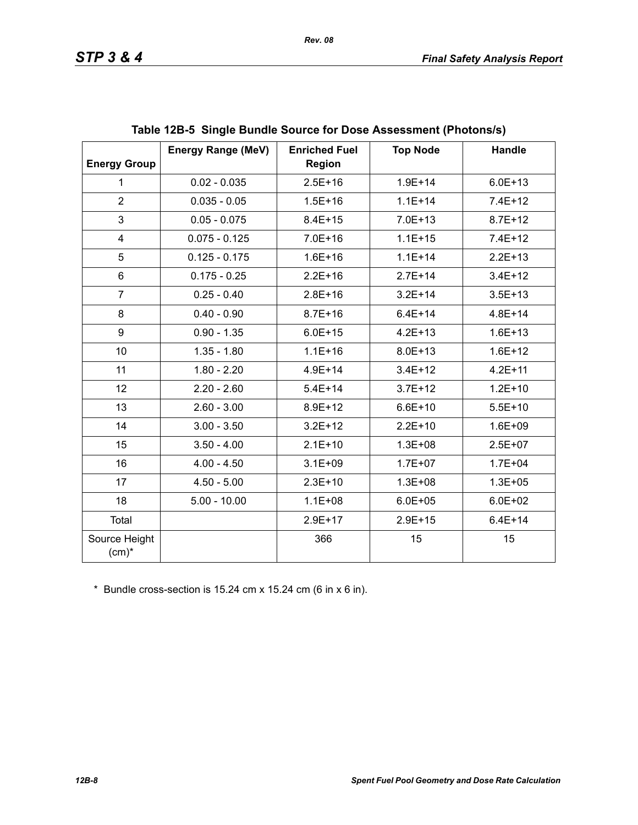| <b>Energy Group</b>       | <b>Energy Range (MeV)</b> | <b>Enriched Fuel</b><br><b>Region</b> | <b>Top Node</b> | Handle      |
|---------------------------|---------------------------|---------------------------------------|-----------------|-------------|
| $\mathbf{1}$              | $0.02 - 0.035$            | $2.5E + 16$                           | $1.9E + 14$     | $6.0E + 13$ |
| $\overline{2}$            | $0.035 - 0.05$            | $1.5E + 16$                           | $1.1E + 14$     | $7.4E + 12$ |
| 3                         | $0.05 - 0.075$            | $8.4E + 15$                           | $7.0E + 13$     | $8.7E + 12$ |
| 4                         | $0.075 - 0.125$           | $7.0E + 16$                           | $1.1E + 15$     | $7.4E + 12$ |
| 5                         | $0.125 - 0.175$           | $1.6E + 16$                           | $1.1E + 14$     | $2.2E+13$   |
| 6                         | $0.175 - 0.25$            | $2.2E + 16$                           | $2.7E + 14$     | $3.4E + 12$ |
| $\overline{7}$            | $0.25 - 0.40$             | $2.8E + 16$                           | $3.2E + 14$     | $3.5E + 13$ |
| 8                         | $0.40 - 0.90$             | $8.7E + 16$                           | $6.4E + 14$     | $4.8E + 14$ |
| 9                         | $0.90 - 1.35$             | $6.0E + 15$                           | $4.2E + 13$     | $1.6E + 13$ |
| 10                        | $1.35 - 1.80$             | $1.1E + 16$                           | $8.0E + 13$     | $1.6E + 12$ |
| 11                        | $1.80 - 2.20$             | $4.9E + 14$                           | $3.4E + 12$     | $4.2E + 11$ |
| 12                        | $2.20 - 2.60$             | $5.4E + 14$                           | $3.7E + 12$     | $1.2E + 10$ |
| 13                        | $2.60 - 3.00$             | 8.9E+12                               | $6.6E + 10$     | $5.5E + 10$ |
| 14                        | $3.00 - 3.50$             | $3.2E + 12$                           | $2.2E+10$       | $1.6E + 09$ |
| 15                        | $3.50 - 4.00$             | $2.1E+10$                             | $1.3E + 08$     | $2.5E+07$   |
| 16                        | $4.00 - 4.50$             | $3.1E + 09$                           | $1.7E + 07$     | $1.7E + 04$ |
| 17                        | $4.50 - 5.00$             | $2.3E+10$                             | $1.3E + 08$     | $1.3E + 05$ |
| 18                        | $5.00 - 10.00$            | $1.1E + 08$                           | $6.0E + 05$     | $6.0E + 02$ |
| Total                     |                           | $2.9E+17$                             | $2.9E + 15$     | $6.4E + 14$ |
| Source Height<br>$(cm)^*$ |                           | 366                                   | 15              | 15          |

\* Bundle cross-section is 15.24 cm x 15.24 cm (6 in x 6 in).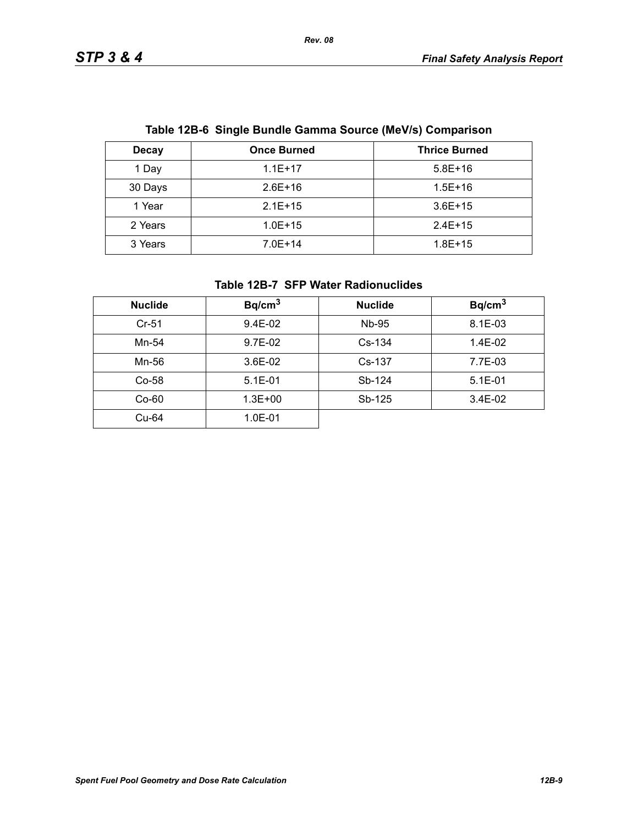| Table TZD-0 Onlyie Dunule Oanma Obdree (MeV/3) Oompanson |                    |                      |  |
|----------------------------------------------------------|--------------------|----------------------|--|
| <b>Decay</b>                                             | <b>Once Burned</b> | <b>Thrice Burned</b> |  |
| 1 Day                                                    | $1.1E+17$          | $5.8E+16$            |  |
| 30 Days                                                  | $2.6E+16$          | $1.5E + 16$          |  |
| 1 Year                                                   | $2.1E+15$          | $3.6E+15$            |  |
| 2 Years                                                  | $1.0E + 15$        | $2.4E+15$            |  |
| 3 Years                                                  | $7.0E+14$          | $1.8E + 15$          |  |

# **Table 12B-6 Single Bundle Gamma Source (MeV/s) Comparison**

#### **Table 12B-7 SFP Water Radionuclides**

| <b>Nuclide</b> | Bq/cm <sup>3</sup> | <b>Nuclide</b> | Bq/cm <sup>3</sup> |
|----------------|--------------------|----------------|--------------------|
| $Cr-51$        | 9.4E-02            | Nb-95          | $8.1E - 03$        |
| Mn-54          | 9.7E-02            | $Cs-134$       | 1.4E-02            |
| Mn-56          | $3.6E-02$          | $Cs-137$       | 7.7E-03            |
| $Co-58$        | $5.1E-01$          | Sb-124         | $5.1E - 01$        |
| $Co-60$        | $1.3E + 00$        | Sb-125         | $3.4E-02$          |
| Cu-64          | 1.0E-01            |                |                    |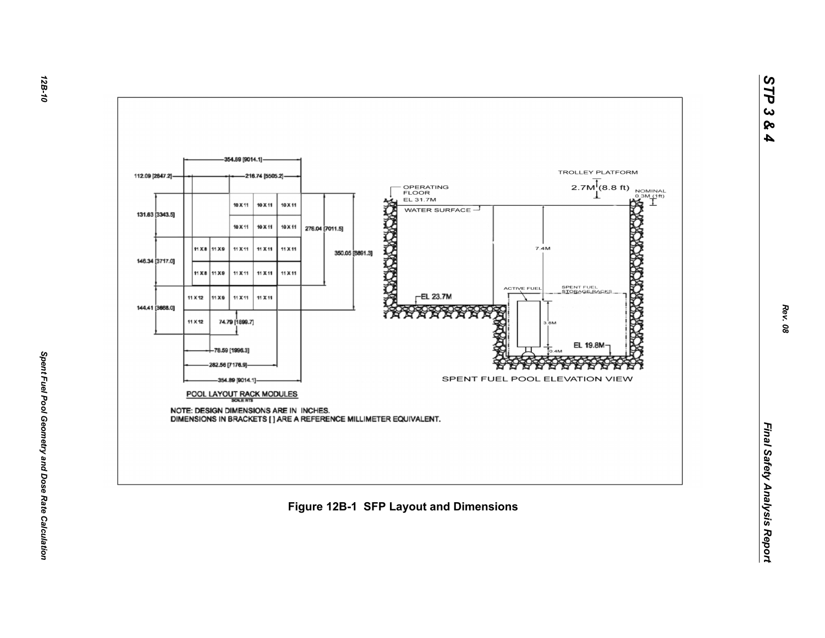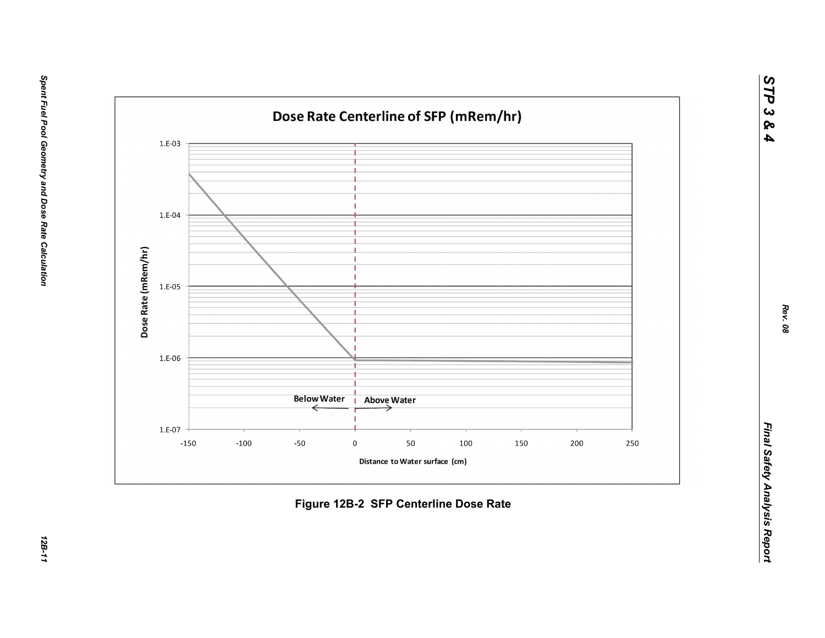